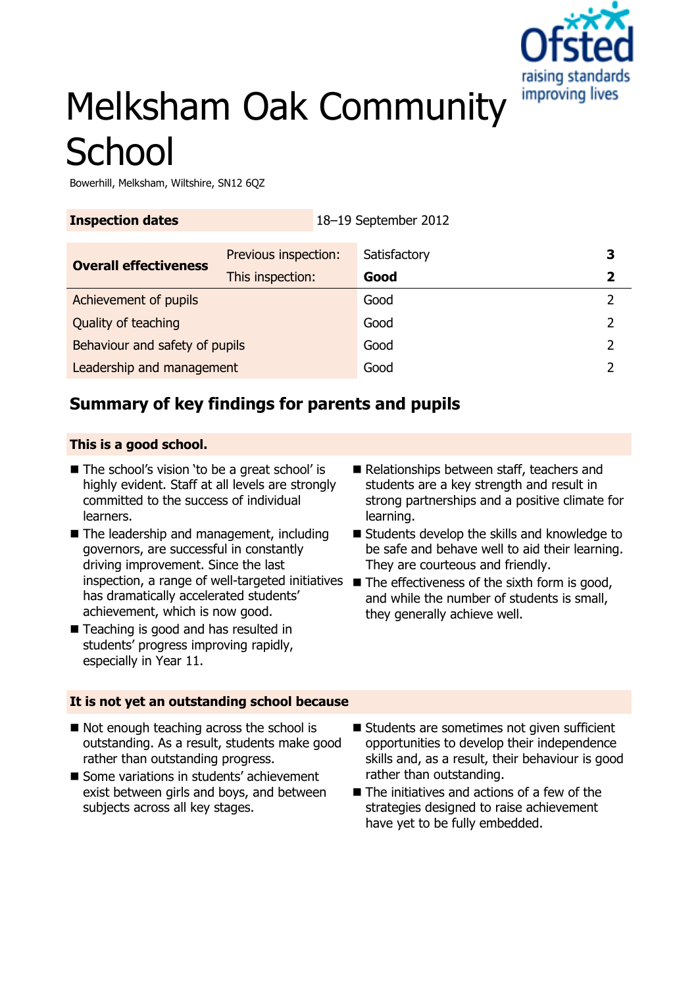

# Melksham Oak Community **School**

Bowerhill, Melksham, Wiltshire, SN12 6QZ

| <b>Inspection dates</b>        |                      | 18-19 September 2012 |  |
|--------------------------------|----------------------|----------------------|--|
| <b>Overall effectiveness</b>   | Previous inspection: | Satisfactory         |  |
|                                | This inspection:     | Good                 |  |
| Achievement of pupils          |                      | Good                 |  |
| Quality of teaching            |                      | Good                 |  |
| Behaviour and safety of pupils |                      | Good                 |  |
| Leadership and management      |                      | Good                 |  |

# **Summary of key findings for parents and pupils**

### **This is a good school.**

- The school's vision 'to be a great school' is highly evident. Staff at all levels are strongly committed to the success of individual learners.
- The leadership and management, including governors, are successful in constantly driving improvement. Since the last inspection, a range of well-targeted initiatives The effectiveness of the sixth form is good, has dramatically accelerated students' achievement, which is now good.
- Teaching is good and has resulted in students' progress improving rapidly, especially in Year 11.
- students are a key strength and result in strong partnerships and a positive climate for learning. ■ Students develop the skills and knowledge to

Relationships between staff, teachers and

- be safe and behave well to aid their learning. They are courteous and friendly.
- and while the number of students is small, they generally achieve well.

## **It is not yet an outstanding school because**

- Not enough teaching across the school is outstanding. As a result, students make good rather than outstanding progress.
- Some variations in students' achievement exist between girls and boys, and between subjects across all key stages.
- Students are sometimes not given sufficient opportunities to develop their independence skills and, as a result, their behaviour is good rather than outstanding.
- $\blacksquare$  The initiatives and actions of a few of the strategies designed to raise achievement have yet to be fully embedded.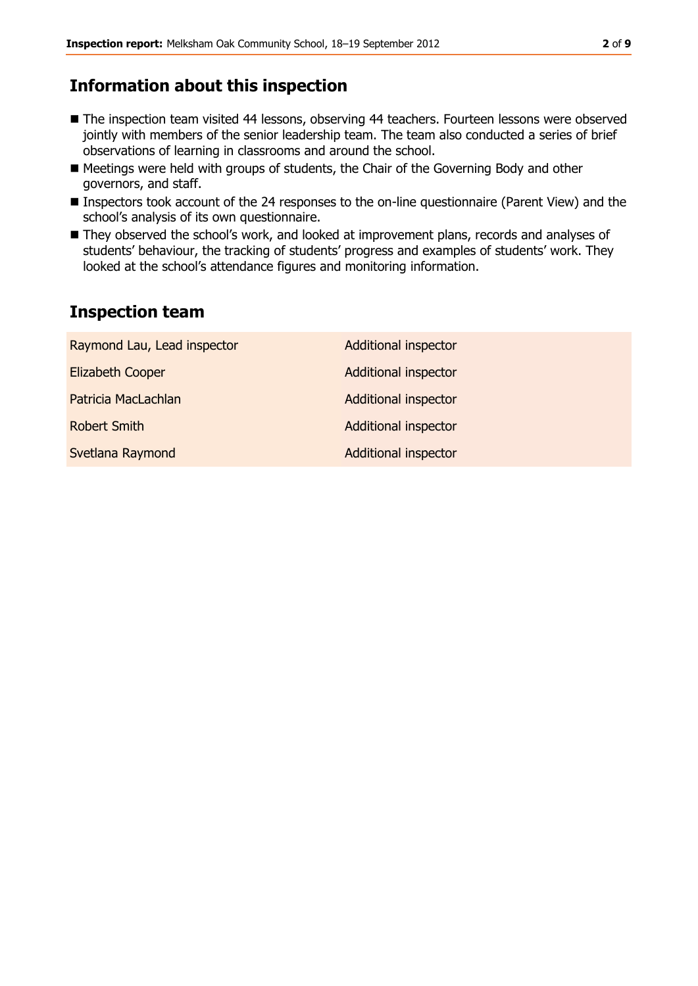## **Information about this inspection**

- The inspection team visited 44 lessons, observing 44 teachers. Fourteen lessons were observed jointly with members of the senior leadership team. The team also conducted a series of brief observations of learning in classrooms and around the school.
- Meetings were held with groups of students, the Chair of the Governing Body and other governors, and staff.
- Inspectors took account of the 24 responses to the on-line questionnaire (Parent View) and the school's analysis of its own questionnaire.
- They observed the school's work, and looked at improvement plans, records and analyses of students' behaviour, the tracking of students' progress and examples of students' work. They looked at the school's attendance figures and monitoring information.

# **Inspection team**

| Raymond Lau, Lead inspector | <b>Additional inspector</b> |
|-----------------------------|-----------------------------|
| <b>Elizabeth Cooper</b>     | <b>Additional inspector</b> |
| Patricia MacLachlan         | <b>Additional inspector</b> |
| <b>Robert Smith</b>         | <b>Additional inspector</b> |
| Svetlana Raymond            | <b>Additional inspector</b> |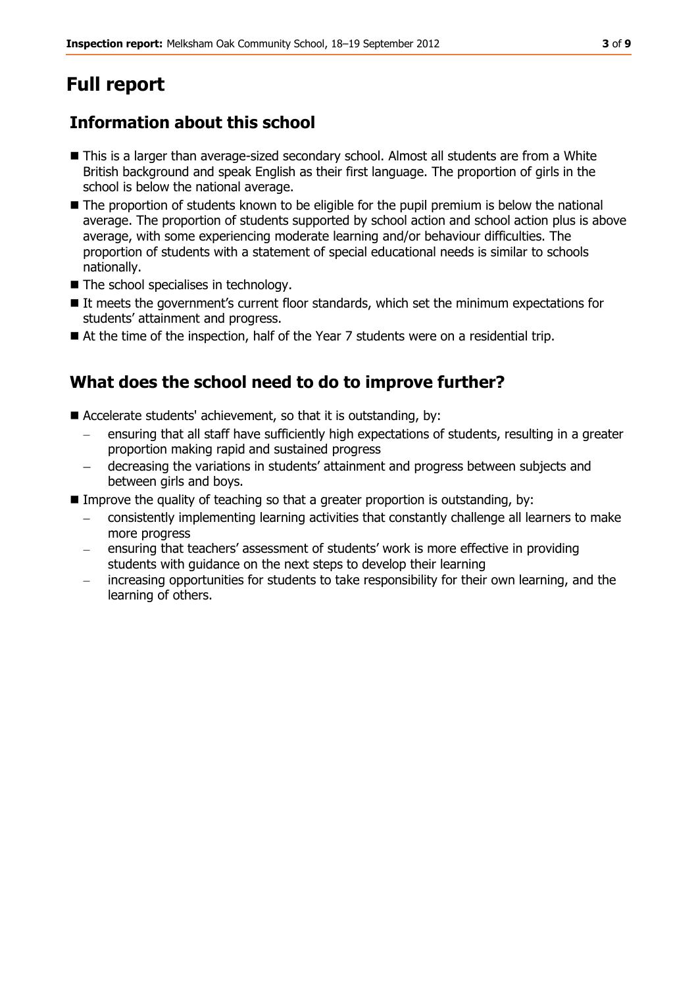# **Full report**

# **Information about this school**

- This is a larger than average-sized secondary school. Almost all students are from a White British background and speak English as their first language. The proportion of girls in the school is below the national average.
- The proportion of students known to be eligible for the pupil premium is below the national average. The proportion of students supported by school action and school action plus is above average, with some experiencing moderate learning and/or behaviour difficulties. The proportion of students with a statement of special educational needs is similar to schools nationally.
- The school specialises in technology.
- It meets the government's current floor standards, which set the minimum expectations for students' attainment and progress.
- At the time of the inspection, half of the Year 7 students were on a residential trip.

# **What does the school need to do to improve further?**

- Accelerate students' achievement, so that it is outstanding, by:
	- ensuring that all staff have sufficiently high expectations of students, resulting in a greater proportion making rapid and sustained progress
	- decreasing the variations in students' attainment and progress between subjects and between girls and boys.
- Improve the quality of teaching so that a greater proportion is outstanding, by:
	- consistently implementing learning activities that constantly challenge all learners to make more progress
	- ensuring that teachers' assessment of students' work is more effective in providing students with guidance on the next steps to develop their learning
	- increasing opportunities for students to take responsibility for their own learning, and the learning of others.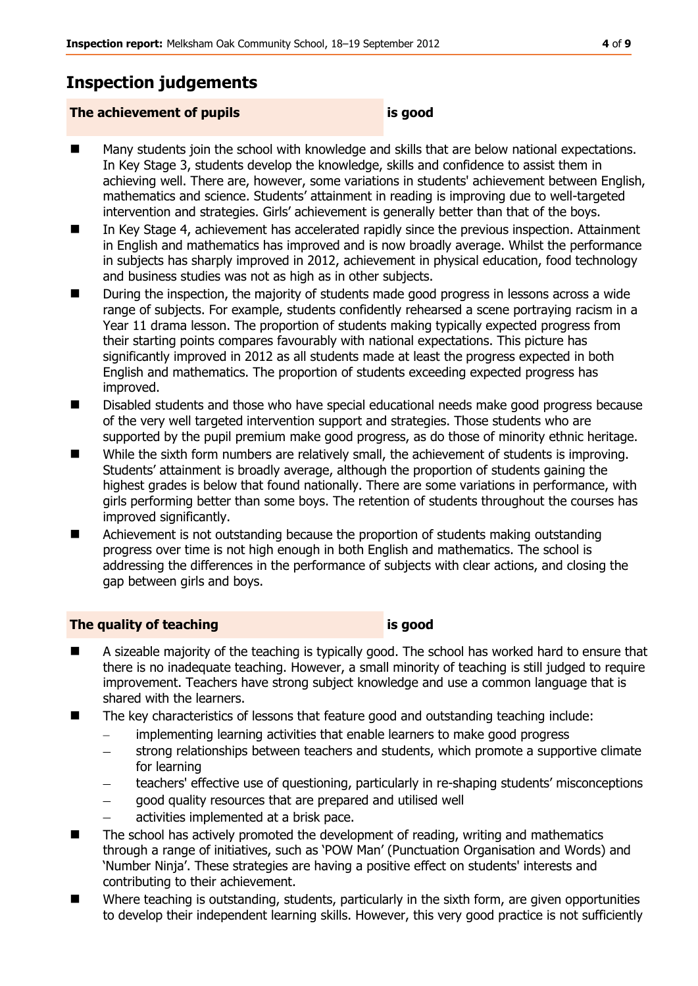# **Inspection judgements**

#### **The achievement of pupils is good**

- Many students join the school with knowledge and skills that are below national expectations. In Key Stage 3, students develop the knowledge, skills and confidence to assist them in achieving well. There are, however, some variations in students' achievement between English, mathematics and science. Students' attainment in reading is improving due to well-targeted intervention and strategies. Girls' achievement is generally better than that of the boys.
- In Key Stage 4, achievement has accelerated rapidly since the previous inspection. Attainment in English and mathematics has improved and is now broadly average. Whilst the performance in subjects has sharply improved in 2012, achievement in physical education, food technology and business studies was not as high as in other subjects.
- During the inspection, the majority of students made good progress in lessons across a wide range of subjects. For example, students confidently rehearsed a scene portraying racism in a Year 11 drama lesson. The proportion of students making typically expected progress from their starting points compares favourably with national expectations. This picture has significantly improved in 2012 as all students made at least the progress expected in both English and mathematics. The proportion of students exceeding expected progress has improved.
- Disabled students and those who have special educational needs make good progress because of the very well targeted intervention support and strategies. Those students who are supported by the pupil premium make good progress, as do those of minority ethnic heritage.
- While the sixth form numbers are relatively small, the achievement of students is improving. Students' attainment is broadly average, although the proportion of students gaining the highest grades is below that found nationally. There are some variations in performance, with girls performing better than some boys. The retention of students throughout the courses has improved significantly.
- Achievement is not outstanding because the proportion of students making outstanding progress over time is not high enough in both English and mathematics. The school is addressing the differences in the performance of subjects with clear actions, and closing the gap between girls and boys.

### **The quality of teaching is good**

- A sizeable majority of the teaching is typically good. The school has worked hard to ensure that there is no inadequate teaching. However, a small minority of teaching is still judged to require improvement. Teachers have strong subject knowledge and use a common language that is shared with the learners.
- The key characteristics of lessons that feature good and outstanding teaching include:
	- implementing learning activities that enable learners to make good progress  $\frac{1}{2}$
	- strong relationships between teachers and students, which promote a supportive climate  $\equiv$ for learning
	- teachers' effective use of questioning, particularly in re-shaping students' misconceptions
	- good quality resources that are prepared and utilised well
	- activities implemented at a brisk pace.
- $\blacksquare$  The school has actively promoted the development of reading, writing and mathematics through a range of initiatives, such as 'POW Man' (Punctuation Organisation and Words) and 'Number Ninja'. These strategies are having a positive effect on students' interests and contributing to their achievement.
- Where teaching is outstanding, students, particularly in the sixth form, are given opportunities to develop their independent learning skills. However, this very good practice is not sufficiently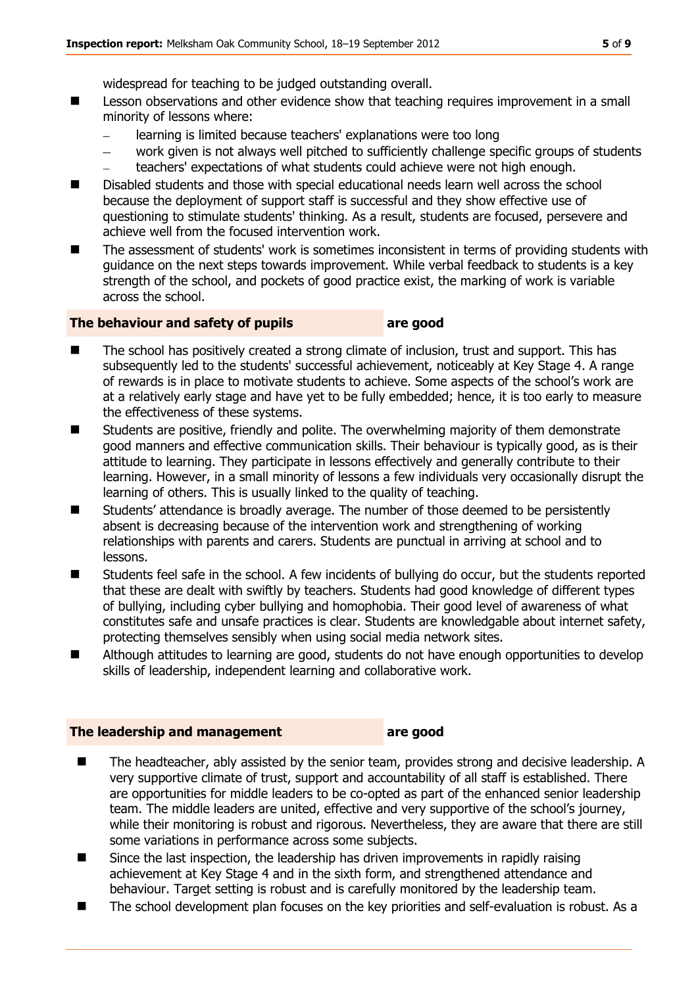widespread for teaching to be judged outstanding overall.

- Lesson observations and other evidence show that teaching requires improvement in a small minority of lessons where:
	- $\frac{1}{2}$ learning is limited because teachers' explanations were too long
	- work given is not always well pitched to sufficiently challenge specific groups of students  $\overline{\phantom{0}}$ teachers' expectations of what students could achieve were not high enough.
- Disabled students and those with special educational needs learn well across the school because the deployment of support staff is successful and they show effective use of questioning to stimulate students' thinking. As a result, students are focused, persevere and achieve well from the focused intervention work.
- The assessment of students' work is sometimes inconsistent in terms of providing students with guidance on the next steps towards improvement. While verbal feedback to students is a key strength of the school, and pockets of good practice exist, the marking of work is variable across the school.

#### **The behaviour and safety of pupils are good**

- The school has positively created a strong climate of inclusion, trust and support. This has subsequently led to the students' successful achievement, noticeably at Key Stage 4. A range of rewards is in place to motivate students to achieve. Some aspects of the school's work are at a relatively early stage and have yet to be fully embedded; hence, it is too early to measure the effectiveness of these systems.
- Students are positive, friendly and polite. The overwhelming majority of them demonstrate good manners and effective communication skills. Their behaviour is typically good, as is their attitude to learning. They participate in lessons effectively and generally contribute to their learning. However, in a small minority of lessons a few individuals very occasionally disrupt the learning of others. This is usually linked to the quality of teaching.
- Students' attendance is broadly average. The number of those deemed to be persistently absent is decreasing because of the intervention work and strengthening of working relationships with parents and carers. Students are punctual in arriving at school and to lessons.
- Students feel safe in the school. A few incidents of bullying do occur, but the students reported that these are dealt with swiftly by teachers. Students had good knowledge of different types of bullying, including cyber bullying and homophobia. Their good level of awareness of what constitutes safe and unsafe practices is clear. Students are knowledgable about internet safety, protecting themselves sensibly when using social media network sites.
- Although attitudes to learning are good, students do not have enough opportunities to develop skills of leadership, independent learning and collaborative work.

#### **The leadership and management are good**

- The headteacher, ably assisted by the senior team, provides strong and decisive leadership. A very supportive climate of trust, support and accountability of all staff is established. There are opportunities for middle leaders to be co-opted as part of the enhanced senior leadership team. The middle leaders are united, effective and very supportive of the school's journey, while their monitoring is robust and rigorous. Nevertheless, they are aware that there are still some variations in performance across some subjects.
- $\blacksquare$  Since the last inspection, the leadership has driven improvements in rapidly raising achievement at Key Stage 4 and in the sixth form, and strengthened attendance and behaviour. Target setting is robust and is carefully monitored by the leadership team.
- The school development plan focuses on the key priorities and self-evaluation is robust. As a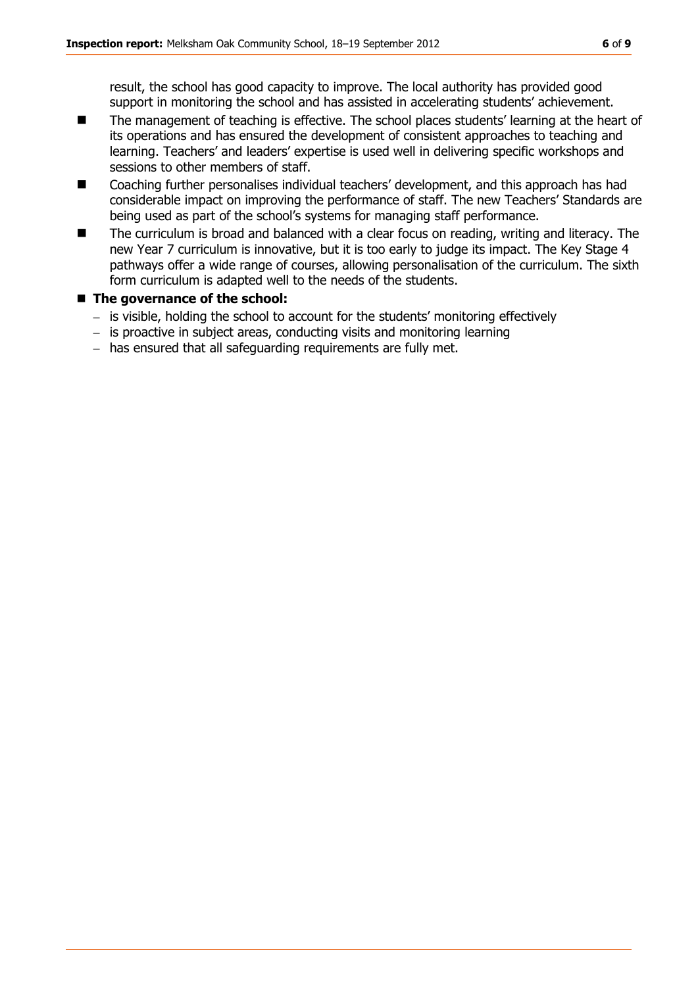result, the school has good capacity to improve. The local authority has provided good support in monitoring the school and has assisted in accelerating students' achievement.

- The management of teaching is effective. The school places students' learning at the heart of its operations and has ensured the development of consistent approaches to teaching and learning. Teachers' and leaders' expertise is used well in delivering specific workshops and sessions to other members of staff.
- Coaching further personalises individual teachers' development, and this approach has had considerable impact on improving the performance of staff. The new Teachers' Standards are being used as part of the school's systems for managing staff performance.
- The curriculum is broad and balanced with a clear focus on reading, writing and literacy. The new Year 7 curriculum is innovative, but it is too early to judge its impact. The Key Stage 4 pathways offer a wide range of courses, allowing personalisation of the curriculum. The sixth form curriculum is adapted well to the needs of the students.

#### **The governance of the school:**

- $-$  is visible, holding the school to account for the students' monitoring effectively
- is proactive in subject areas, conducting visits and monitoring learning
- $-$  has ensured that all safeguarding requirements are fully met.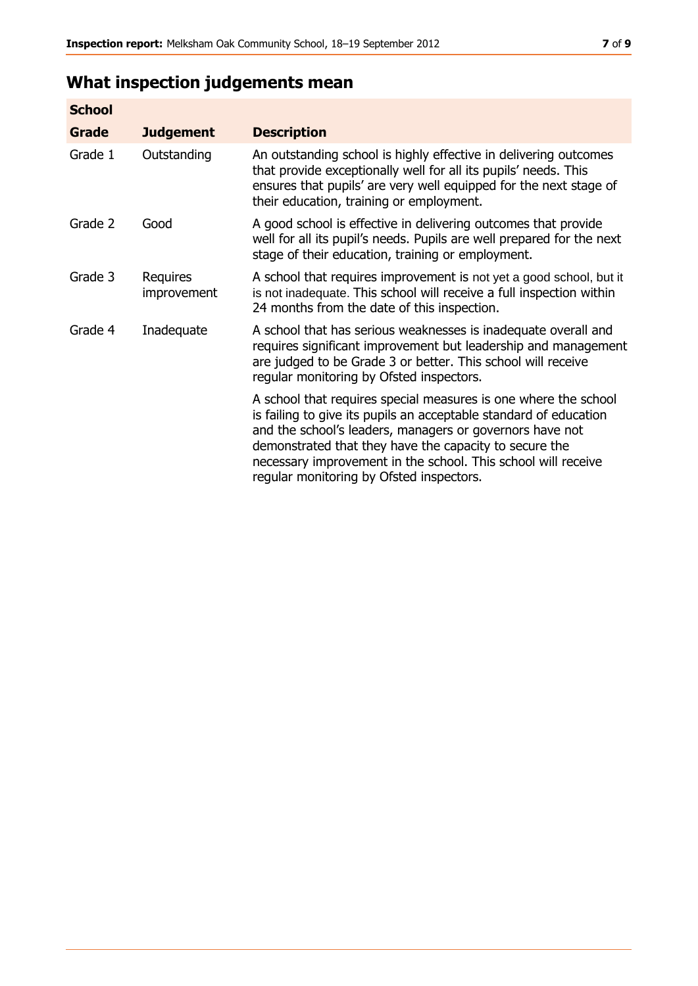# **What inspection judgements mean**

| <b>School</b> |                         |                                                                                                                                                                                                                                                                                                                                                                         |
|---------------|-------------------------|-------------------------------------------------------------------------------------------------------------------------------------------------------------------------------------------------------------------------------------------------------------------------------------------------------------------------------------------------------------------------|
| Grade         | <b>Judgement</b>        | <b>Description</b>                                                                                                                                                                                                                                                                                                                                                      |
| Grade 1       | Outstanding             | An outstanding school is highly effective in delivering outcomes<br>that provide exceptionally well for all its pupils' needs. This<br>ensures that pupils' are very well equipped for the next stage of<br>their education, training or employment.                                                                                                                    |
| Grade 2       | Good                    | A good school is effective in delivering outcomes that provide<br>well for all its pupil's needs. Pupils are well prepared for the next<br>stage of their education, training or employment.                                                                                                                                                                            |
| Grade 3       | Requires<br>improvement | A school that requires improvement is not yet a good school, but it<br>is not inadequate. This school will receive a full inspection within<br>24 months from the date of this inspection.                                                                                                                                                                              |
| Grade 4       | Inadequate              | A school that has serious weaknesses is inadequate overall and<br>requires significant improvement but leadership and management<br>are judged to be Grade 3 or better. This school will receive<br>regular monitoring by Ofsted inspectors.                                                                                                                            |
|               |                         | A school that requires special measures is one where the school<br>is failing to give its pupils an acceptable standard of education<br>and the school's leaders, managers or governors have not<br>demonstrated that they have the capacity to secure the<br>necessary improvement in the school. This school will receive<br>regular monitoring by Ofsted inspectors. |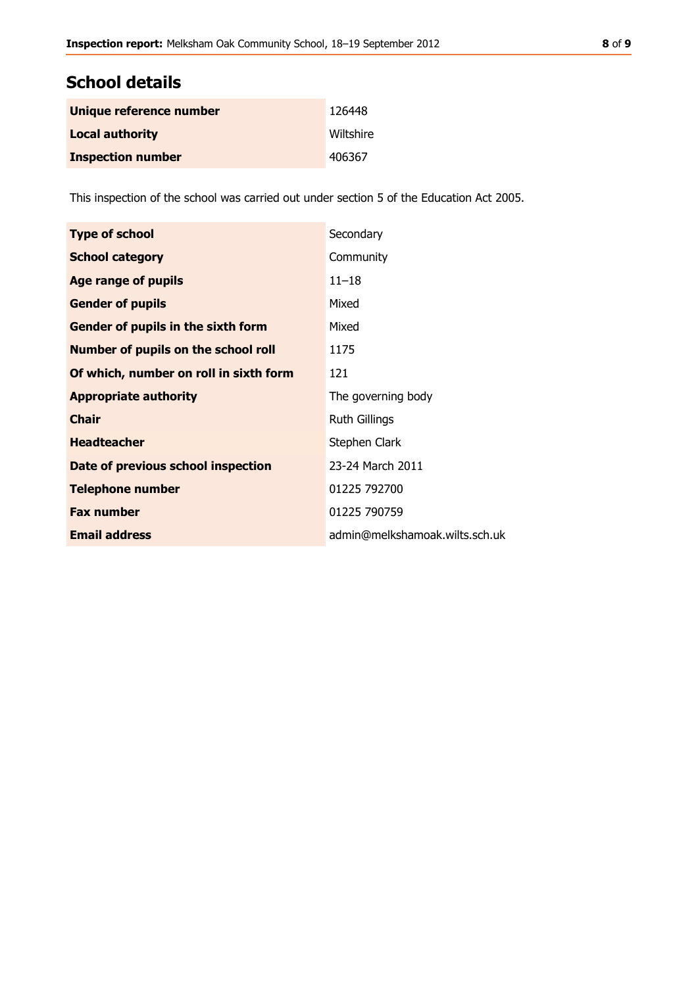# **School details**

| Unique reference number  | 126448    |
|--------------------------|-----------|
| <b>Local authority</b>   | Wiltshire |
| <b>Inspection number</b> | 406367    |

This inspection of the school was carried out under section 5 of the Education Act 2005.

| <b>Type of school</b>                  | Secondary                      |
|----------------------------------------|--------------------------------|
| <b>School category</b>                 | Community                      |
| Age range of pupils                    | $11 - 18$                      |
| <b>Gender of pupils</b>                | Mixed                          |
| Gender of pupils in the sixth form     | Mixed                          |
| Number of pupils on the school roll    | 1175                           |
| Of which, number on roll in sixth form | 121                            |
| <b>Appropriate authority</b>           | The governing body             |
| <b>Chair</b>                           | <b>Ruth Gillings</b>           |
| <b>Headteacher</b>                     | Stephen Clark                  |
| Date of previous school inspection     | 23-24 March 2011               |
| <b>Telephone number</b>                | 01225 792700                   |
| <b>Fax number</b>                      | 01225 790759                   |
| <b>Email address</b>                   | admin@melkshamoak.wilts.sch.uk |